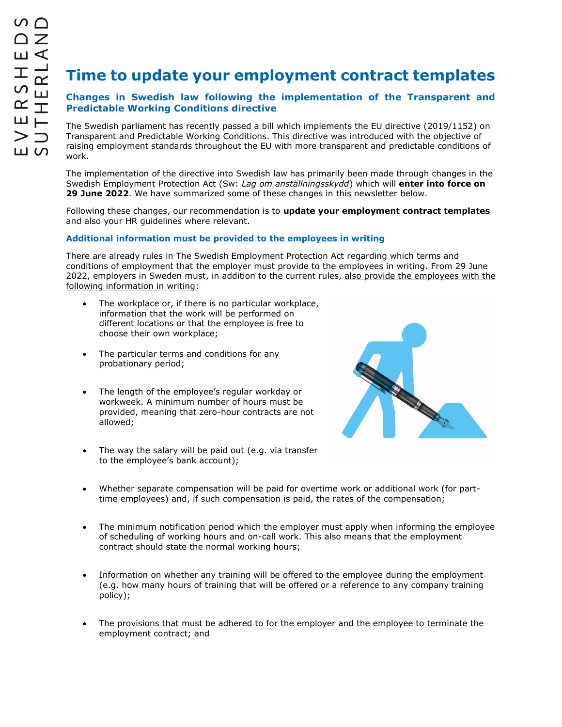# **Time to update your employment contract templates**

## **Changes in Swedish law following the implementation of the Transparent and Predictable Working Conditions directive**

The Swedish parliament has recently passed a bill which implements the EU directive (2019/1152) on Transparent and Predictable Working Conditions. This directive was introduced with the objective of raising employment standards throughout the EU with more transparent and predictable conditions of work.

The implementation of the directive into Swedish law has primarily been made through changes in the Swedish Employment Protection Act (Sw: *Lag om anställningsskydd*) which will **enter into force on 29 June 2022**. We have summarized some of these changes in this newsletter below.

Following these changes, our recommendation is to **update your employment contract templates** and also your HR guidelines where relevant.

## **Additional information must be provided to the employees in writing**

There are already rules in The Swedish Employment Protection Act regarding which terms and conditions of employment that the employer must provide to the employees in writing. From 29 June 2022, employers in Sweden must, in addition to the current rules, also provide the employees with the following information in writing:

- The workplace or, if there is no particular workplace, information that the work will be performed on different locations or that the employee is free to choose their own workplace;
- The particular terms and conditions for any probationary period;
- The length of the employee's regular workday or workweek. A minimum number of hours must be provided, meaning that zero-hour contracts are not allowed;



- The way the salary will be paid out (e.g. via transfer to the employee's bank account);
- Whether separate compensation will be paid for overtime work or additional work (for parttime employees) and, if such compensation is paid, the rates of the compensation;
- The minimum notification period which the employer must apply when informing the employee of scheduling of working hours and on-call work. This also means that the employment contract should state the normal working hours;
- Information on whether any training will be offered to the employee during the employment (e.g. how many hours of training that will be offered or a reference to any company training policy);
- The provisions that must be adhered to for the employer and the employee to terminate the employment contract; and